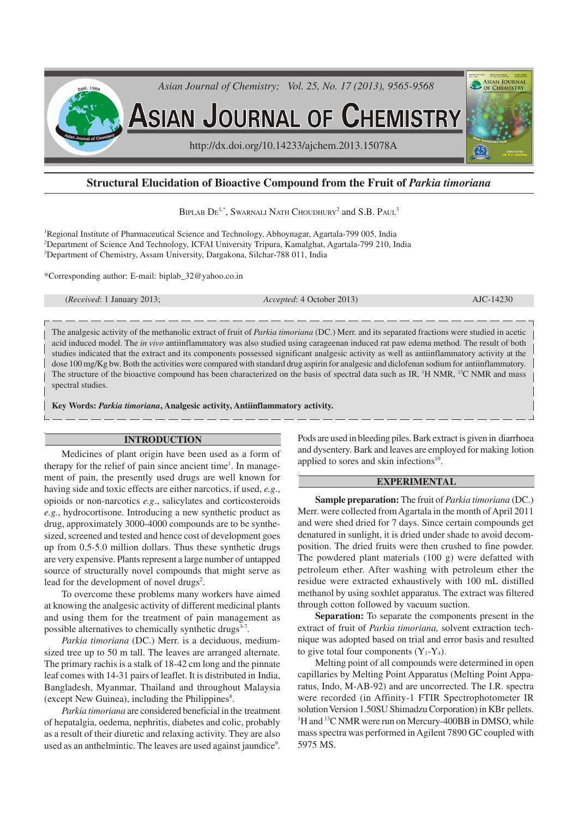

# **Structural Elucidation of Bioactive Compound from the Fruit of** *Parkia timoriana*

BIPLAB  $\mathrm{De}^{1,*}$ , Swarnali Nath Choudhury<sup>2</sup> and S.B. Paul<sup>3</sup>

<sup>1</sup>Regional Institute of Pharmaceutical Science and Technology, Abhoynagar, Agartala-799 005, India <sup>2</sup>Department of Science And Technology, ICFAI University Tripura, Kamalghat, Agartala-799 210, India <sup>3</sup>Department of Chemistry, Assam University, Dargakona, Silchar-788 011, India

\*Corresponding author: E-mail: biplab\_32@yahoo.co.in

(*Received*: 1 January 2013; *Accepted*: 4 October 2013) AJC-14230

The analgesic activity of the methanolic extract of fruit of *Parkia timoriana* (DC.) Merr. and its separated fractions were studied in acetic acid induced model. The *in vivo* antiinflammatory was also studied using carageenan induced rat paw edema method. The result of both studies indicated that the extract and its components possessed significant analgesic activity as well as antiinflammatory activity at the dose 100 mg/Kg bw. Both the activities were compared with standard drug aspirin for analgesic and diclofenan sodium for antiinflammatory. The structure of the bioactive compound has been characterized on the basis of spectral data such as IR, <sup>1</sup>H NMR, <sup>13</sup>C NMR and mass spectral studies.

**Key Words:** *Parkia timoriana***, Analgesic activity, Antiinflammatory activity.**

## **INTRODUCTION**

Medicines of plant origin have been used as a form of therapy for the relief of pain since ancient time<sup>1</sup>. In management of pain, the presently used drugs are well known for having side and toxic effects are either narcotics, if used, *e.g*., opioids or non-narcotics *e.g*., salicylates and corticosteroids *e.g.*, hydrocortisone. Introducing a new synthetic product as drug, approximately 3000-4000 compounds are to be synthesized, screened and tested and hence cost of development goes up from 0.5-5.0 million dollars. Thus these synthetic drugs are very expensive. Plants represent a large number of untapped source of structurally novel compounds that might serve as lead for the development of novel drugs<sup>2</sup>.

To overcome these problems many workers have aimed at knowing the analgesic activity of different medicinal plants and using them for the treatment of pain management as possible alternatives to chemically synthetic drugs<sup>3-7</sup>.

*Parkia timoriana* (DC.) Merr. is a deciduous, mediumsized tree up to 50 m tall. The leaves are arranged alternate. The primary rachis is a stalk of 18-42 cm long and the pinnate leaf comes with 14-31 pairs of leaflet. It is distributed in India, Bangladesh, Myanmar, Thailand and throughout Malaysia (except New Guinea), including the Philippines<sup>8</sup>.

*Parkia timoriana* are considered beneficial in the treatment of hepatalgia, oedema, nephritis, diabetes and colic, probably as a result of their diuretic and relaxing activity. They are also used as an anthelmintic. The leaves are used against jaundice<sup>9</sup>.

Pods are used in bleeding piles. Bark extract is given in diarrhoea and dysentery. Bark and leaves are employed for making lotion applied to sores and skin infections<sup>10</sup>.

## **EXPERIMENTAL**

**Sample preparation:** The fruit of *Parkia timoriana* (DC.) Merr. were collected from Agartala in the month of April 2011 and were shed dried for 7 days. Since certain compounds get denatured in sunlight, it is dried under shade to avoid decomposition. The dried fruits were then crushed to fine powder. The powdered plant materials (100 g) were defatted with petroleum ether. After washing with petroleum ether the residue were extracted exhaustively with 100 mL distilled methanol by using soxhlet apparatus. The extract was filtered through cotton followed by vacuum suction.

**Separation:** To separate the components present in the extract of fruit of *Parkia timoriana,* solvent extraction technique was adopted based on trial and error basis and resulted to give total four components  $(Y_1-Y_4)$ .

Melting point of all compounds were determined in open capillaries by Melting Point Apparatus (Melting Point Apparatus, Indo, M-AB-92) and are uncorrected. The I.R. spectra were recorded (in Affinity-1 FTIR Spectrophotometer IR solution Version 1.50SU Shimadzu Corporation) in KBr pellets. <sup>1</sup>H and <sup>13</sup>C NMR were run on Mercury-400BB in DMSO, while mass spectra was performed in Agilent 7890 GC coupled with 5975 MS.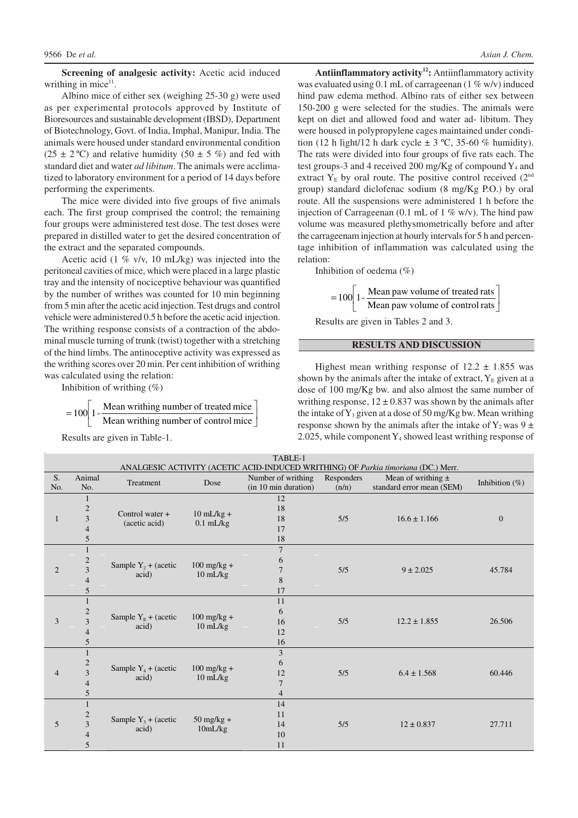**Screening of analgesic activity:** Acetic acid induced writhing in mice $11$ .

Albino mice of either sex (weighing 25-30 g) were used as per experimental protocols approved by Institute of Bioresources and sustainable development (IBSD), Department of Biotechnology, Govt. of India, Imphal, Manipur, India. The animals were housed under standard environmental condition (25  $\pm$  2 °C) and relative humidity (50  $\pm$  5 %) and fed with standard diet and water *ad libitum*. The animals were acclimatized to laboratory environment for a period of 14 days before performing the experiments.

The mice were divided into five groups of five animals each. The first group comprised the control; the remaining four groups were administered test dose. The test doses were prepared in distilled water to get the desired concentration of the extract and the separated compounds.

Acetic acid (1 % v/v, 10 mL/kg) was injected into the peritoneal cavities of mice, which were placed in a large plastic tray and the intensity of nociceptive behaviour was quantified by the number of writhes was counted for 10 min beginning from 5 min after the acetic acid injection. Test drugs and control vehicle were administered 0.5 h before the acetic acid injection. The writhing response consists of a contraction of the abdominal muscle turning of trunk (twist) together with a stretching of the hind limbs. The antinoceptive activity was expressed as the writhing scores over 20 min. Per cent inhibition of writhing was calculated using the relation:

Inhibition of writhing  $(\%)$ 

$$
= 100 \left[ 1 - \frac{\text{Mean writing number of treated mice}}{\text{Mean writing number of control mice}} \right]
$$

Results are given in Table-1.

**Antiinflammatory activity<sup>12</sup>:** Antiinflammatory activity was evaluated using 0.1 mL of carrageenan (1 % w/v) induced hind paw edema method. Albino rats of either sex between 150-200 g were selected for the studies. The animals were kept on diet and allowed food and water ad- libitum. They were housed in polypropylene cages maintained under condition (12 h light/12 h dark cycle  $\pm$  3 °C, 35-60 % humidity). The rats were divided into four groups of five rats each. The test groups-3 and 4 received 200 mg/Kg of compound  $Y_4$  and extract  $Y_E$  by oral route. The positive control received  $(2<sup>nd</sup>)$ group) standard diclofenac sodium (8 mg/Kg P.O.) by oral route. All the suspensions were administered 1 h before the injection of Carrageenan (0.1 mL of 1  $\%$  w/v). The hind paw volume was measured plethysmometrically before and after the carrageenam injection at hourly intervals for 5 h and percentage inhibition of inflammation was calculated using the relation:

Inhibition of oedema  $(\%)$ 

$$
= 100 \left[ 1 - \frac{\text{Mean paw volume of treated rats}}{\text{Mean paw volume of control rats}} \right]
$$

Results are given in Tables 2 and 3.

## **RESULTS AND DISCUSSION**

Highest mean writhing response of  $12.2 \pm 1.855$  was shown by the animals after the intake of extract,  $Y_E$  given at a dose of 100 mg/Kg bw. and also almost the same number of writhing response,  $12 \pm 0.837$  was shown by the animals after the intake of  $Y_3$  given at a dose of 50 mg/Kg bw. Mean writhing response shown by the animals after the intake of  $Y_2$  was  $9 \pm$ 2.025, while component  $Y_4$  showed least writhing response of

| TABLE-1        |                                                                                   |                                    |                                             |                      |            |                           |                   |  |  |
|----------------|-----------------------------------------------------------------------------------|------------------------------------|---------------------------------------------|----------------------|------------|---------------------------|-------------------|--|--|
|                | ANALGESIC ACTIVITY (ACETIC ACID-INDUCED WRITHING) OF Parkia timoriana (DC.) Merr. |                                    |                                             |                      |            |                           |                   |  |  |
| S.             | Animal                                                                            | Treatment                          | Dose                                        | Number of writhing   | Responders | Mean of writhing $\pm$    | Inhibition $(\%)$ |  |  |
| No.            | No.                                                                               |                                    |                                             | (in 10 min duration) | (n/n)      | standard error mean (SEM) |                   |  |  |
| 1              | 1                                                                                 | Control water $+$<br>(acetic acid) | $10$ mL/kg +<br>$0.1$ mL/kg                 | 12                   | 5/5        | $16.6 \pm 1.166$          | $\overline{0}$    |  |  |
|                | $\overline{c}$                                                                    |                                    |                                             | 18                   |            |                           |                   |  |  |
|                | $\mathfrak{Z}$                                                                    |                                    |                                             | 18                   |            |                           |                   |  |  |
|                | $\overline{4}$                                                                    |                                    |                                             | 17                   |            |                           |                   |  |  |
|                | 5                                                                                 |                                    |                                             | 18                   |            |                           |                   |  |  |
| $\overline{2}$ | $\mathbf{1}$                                                                      | Sample $Y_2$ + (acetic<br>acid)    | $100 \text{ mg/kg} +$<br>$10 \text{ mL/kg}$ | $\overline{7}$       | 5/5        | $9 \pm 2.025$             | 45.784            |  |  |
|                | $\overline{\mathbf{c}}$                                                           |                                    |                                             | 6                    |            |                           |                   |  |  |
|                | 3                                                                                 |                                    |                                             | $\overline{7}$       |            |                           |                   |  |  |
|                | 4                                                                                 |                                    |                                             | $\,8\,$              |            |                           |                   |  |  |
|                | 5                                                                                 |                                    |                                             | 17                   |            |                           |                   |  |  |
|                | $\mathbf{1}$                                                                      | Sample $Y_E$ + (acetic<br>acid)    | $100 \text{ mg/kg} +$<br>$10 \text{ mL/kg}$ | 11                   | 5/5        | $12.2 \pm 1.855$          | 26.506            |  |  |
|                | $\mathbf{2}$                                                                      |                                    |                                             | 6                    |            |                           |                   |  |  |
| 3              | $\overline{\mathbf{3}}$                                                           |                                    |                                             | 16                   |            |                           |                   |  |  |
|                | 4                                                                                 |                                    |                                             | 12                   |            |                           |                   |  |  |
|                | 5                                                                                 |                                    |                                             | 16                   |            |                           |                   |  |  |
|                | $\mathbf{1}$                                                                      | Sample $Y_4$ + (acetic<br>acid)    | $100 \text{ mg/kg} +$<br>$10 \text{ mL/kg}$ | $\overline{3}$       | 5/5        | $6.4 \pm 1.568$           | 60.446            |  |  |
|                | $\overline{2}$                                                                    |                                    |                                             | 6                    |            |                           |                   |  |  |
| $\overline{4}$ | 3                                                                                 |                                    |                                             | 12                   |            |                           |                   |  |  |
|                | 4                                                                                 |                                    |                                             | $\overline{7}$       |            |                           |                   |  |  |
|                | 5                                                                                 |                                    |                                             | $\overline{4}$       |            |                           |                   |  |  |
| 5              | $\mathbf{1}$                                                                      | Sample $Y_3$ + (acetic<br>acid)    | $50$ mg/kg +<br>10mL/kg                     | 14                   | 5/5        | $12 \pm 0.837$            | 27.711            |  |  |
|                | $\overline{c}$                                                                    |                                    |                                             | 11                   |            |                           |                   |  |  |
|                | $\overline{\mathbf{3}}$                                                           |                                    |                                             | 14                   |            |                           |                   |  |  |
|                | 4                                                                                 |                                    |                                             | 10                   |            |                           |                   |  |  |
|                | 5                                                                                 |                                    |                                             | 11                   |            |                           |                   |  |  |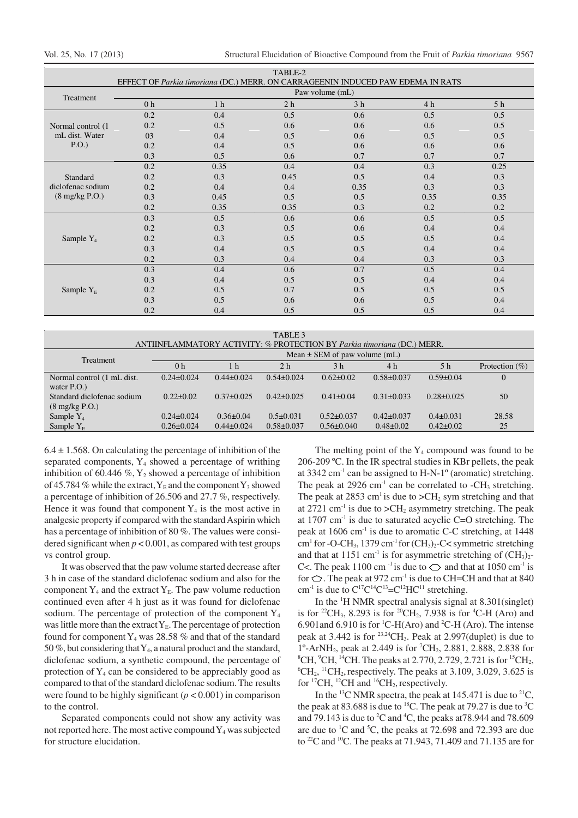|                                  |                                                                                 |                | TABLE-2        |                |                |      |  |  |
|----------------------------------|---------------------------------------------------------------------------------|----------------|----------------|----------------|----------------|------|--|--|
|                                  | EFFECT OF Parkia timoriana (DC.) MERR. ON CARRAGEENIN INDUCED PAW EDEMA IN RATS |                |                |                |                |      |  |  |
| Treatment                        | Paw volume (mL)                                                                 |                |                |                |                |      |  |  |
|                                  | 0 <sub>h</sub>                                                                  | 1 <sub>h</sub> | 2 <sub>h</sub> | 3 <sub>h</sub> | 4 <sub>h</sub> | 5 h  |  |  |
|                                  | 0.2                                                                             | 0.4            | 0.5            | 0.6            | 0.5            | 0.5  |  |  |
| Normal control (1)               | 0.2                                                                             | 0.5            | 0.6            | 0.6            | 0.6            | 0.5  |  |  |
| mL dist. Water                   | 03                                                                              | 0.4            | 0.5            | 0.6            | 0.5            | 0.5  |  |  |
| P.O.)                            | 0.2                                                                             | 0.4            | 0.5            | 0.6            | 0.6            | 0.6  |  |  |
|                                  | 0.3                                                                             | 0.5            | 0.6            | 0.7            | 0.7            | 0.7  |  |  |
|                                  | 0.2                                                                             | 0.35           | 0.4            | 0.4            | 0.3            | 0.25 |  |  |
| Standard                         | 0.2                                                                             | 0.3            | 0.45           | 0.5            | 0.4            | 0.3  |  |  |
| diclofenac sodium                | 0.2                                                                             | 0.4            | 0.4            | 0.35           | 0.3            | 0.3  |  |  |
| $(8 \text{ mg/kg} \text{ P.O.})$ | 0.3                                                                             | 0.45           | 0.5            | 0.5            | 0.35           | 0.35 |  |  |
|                                  | 0.2                                                                             | 0.35           | 0.35           | 0.3            | 0.2            | 0.2  |  |  |
|                                  | 0.3                                                                             | 0.5            | 0.6            | 0.6            | 0.5            | 0.5  |  |  |
|                                  | 0.2                                                                             | 0.3            | 0.5            | 0.6            | 0.4            | 0.4  |  |  |
| Sample $Y_4$                     | 0.2                                                                             | 0.3            | 0.5            | 0.5            | 0.5            | 0.4  |  |  |
|                                  | 0.3                                                                             | 0.4            | 0.5            | 0.5            | 0.4            | 0.4  |  |  |
|                                  | 0.2                                                                             | 0.3            | 0.4            | 0.4            | 0.3            | 0.3  |  |  |
|                                  | 0.3                                                                             | 0.4            | 0.6            | 0.7            | 0.5            | 0.4  |  |  |
|                                  | 0.3                                                                             | 0.4            | 0.5            | 0.5            | 0.4            | 0.4  |  |  |
| Sample $Y_{E}$                   | 0.2                                                                             | 0.5            | 0.7            | 0.5            | 0.5            | 0.5  |  |  |
|                                  | 0.3                                                                             | 0.5            | 0.6            | 0.6            | 0.5            | 0.4  |  |  |
|                                  | 0.2                                                                             | 0.4            | 0.5            | 0.5            | 0.5            | 0.4  |  |  |

| TABLE 3                                                                 |                                   |                  |                  |                  |                  |                  |                   |  |
|-------------------------------------------------------------------------|-----------------------------------|------------------|------------------|------------------|------------------|------------------|-------------------|--|
| ANTIINFLAMMATORY ACTIVITY: % PROTECTION BY Parkia timoriana (DC.) MERR. |                                   |                  |                  |                  |                  |                  |                   |  |
| <b>Treatment</b>                                                        | Mean $\pm$ SEM of paw volume (mL) |                  |                  |                  |                  |                  |                   |  |
|                                                                         | 0 <sub>h</sub>                    | 1 h              | 2 <sub>h</sub>   | 3 <sub>h</sub>   | 4 h              | 5 <sub>h</sub>   | Protection $(\%)$ |  |
| Normal control (1 mL dist.                                              | $0.24 \pm 0.024$                  | $0.44\pm 0.024$  | $0.54\pm0.024$   | $0.62 \pm 0.02$  | $0.58 \pm 0.037$ | $0.59 \pm 0.04$  | $\overline{0}$    |  |
| water $P.O.$ )                                                          |                                   |                  |                  |                  |                  |                  |                   |  |
| Standard diclofenac sodium                                              | $0.22 \pm 0.02$                   | $0.37\pm0.025$   | $0.42 \pm 0.025$ | $0.41 \pm 0.04$  | $0.31 \pm 0.033$ | $0.28 \pm 0.025$ | 50                |  |
| $(8 \text{ mg/kg} \text{ P.O.})$                                        |                                   |                  |                  |                  |                  |                  |                   |  |
| Sample $Y_4$                                                            | $0.24 \pm 0.024$                  | $0.36 \pm 0.04$  | $0.5 \pm 0.031$  | $0.52 \pm 0.037$ | $0.42 \pm 0.037$ | $0.4 \pm 0.031$  | 28.58             |  |
| Sample $Y_F$                                                            | $0.26 \pm 0.024$                  | $0.44 \pm 0.024$ | $0.58 \pm 0.037$ | $0.56 \pm 0.040$ | $0.48 \pm 0.02$  | $0.42 \pm 0.02$  | 25                |  |
|                                                                         |                                   |                  |                  |                  |                  |                  |                   |  |

 $6.4 \pm 1.568$ . On calculating the percentage of inhibition of the separated components,  $Y_4$  showed a percentage of writhing inhibition of 60.446  $\%$ , Y<sub>2</sub> showed a percentage of inhibition of 45.784 % while the extract,  $Y_E$  and the component  $Y_3$  showed a percentage of inhibition of 26.506 and 27.7 %, respectively. Hence it was found that component  $Y_4$  is the most active in analgesic property if compared with the standard Aspirin which has a percentage of inhibition of 80 %. The values were considered significant when  $p < 0.001$ , as compared with test groups vs control group.

It was observed that the paw volume started decrease after 3 h in case of the standard diclofenac sodium and also for the component  $Y_4$  and the extract  $Y_E$ . The paw volume reduction continued even after 4 h just as it was found for diclofenac sodium. The percentage of protection of the component  $Y_4$ was little more than the extract  $Y_E$ . The percentage of protection found for component  $Y_4$  was 28.58 % and that of the standard 50 %, but considering that  $Y_4$ , a natural product and the standard, diclofenac sodium, a synthetic compound, the percentage of protection of  $Y_4$  can be considered to be appreciably good as compared to that of the standard diclofenac sodium. The results were found to be highly significant  $(p < 0.001)$  in comparison to the control.

Separated components could not show any activity was not reported here. The most active compound  $Y_4$  was subjected for structure elucidation.

The melting point of the  $Y_4$  compound was found to be 206-209 ºC. In the IR spectral studies in KBr pellets, the peak at 3342 cm<sup>-1</sup> can be assigned to H-N-1<sup>o</sup> (aromatic) stretching. The peak at 2926 cm<sup>-1</sup> can be correlated to  $-CH_3$  stretching. The peak at 2853 cm<sup>1</sup> is due to  $\geq$ CH<sub>2</sub> sym stretching and that at 2721 cm<sup>-1</sup> is due to  $\geq$ CH<sub>2</sub> asymmetry stretching. The peak at  $1707 \text{ cm}^{-1}$  is due to saturated acyclic C=O stretching. The peak at  $1606 \text{ cm}^{-1}$  is due to aromatic C-C stretching, at  $1448$ cm<sup>1</sup> for -O-CH<sub>3</sub>, 1379 cm<sup>-1</sup> for  $(CH_3)_2$ -C< symmetric stretching and that at 1151 cm<sup>-1</sup> is for asymmetric stretching of  $(CH_3)_2$ -C<. The peak 1100 cm<sup>-1</sup> is due to  $\bigcirc$  and that at 1050 cm<sup>-1</sup> is for  $\bigcirc$ . The peak at 972 cm<sup>-1</sup> is due to CH=CH and that at 840 cm<sup>-1</sup> is due to  $C^{17}C^{14}C^{13}=C^{12}HC^{11}$  stretching.

In the  $\rm{^1H}$  NMR spectral analysis signal at 8.301(singlet) is for <sup>22</sup>CH<sub>3</sub>, 8.293 is for <sup>20</sup>CH<sub>2</sub>, 7.938 is for <sup>4</sup>C-H (Aro) and 6.901 and 6.910 is for <sup>1</sup>C-H(Aro) and <sup>2</sup>C-H (Aro). The intense peak at 3.442 is for  $^{23,24}CH_3$ . Peak at 2.997(duplet) is due to  $1^{\circ}$ -ArNH<sub>2</sub>, peak at 2.449 is for <sup>7</sup>CH<sub>2</sub>, 2.881, 2.888, 2.838 for  ${}^{8}$ CH,  ${}^{9}$ CH,  ${}^{14}$ CH. The peaks at 2.770, 2.729, 2.721 is for  ${}^{15}$ CH<sub>2</sub>,  ${}^{6}CH_{2}$ , <sup>11</sup>CH<sub>2</sub>, respectively. The peaks at 3.109, 3.029, 3.625 is for  ${}^{17}CH$ ,  ${}^{12}CH$  and  ${}^{16}CH_2$ , respectively.

In the <sup>13</sup>C NMR spectra, the peak at 145.471 is due to <sup>21</sup>C, the peak at 83.688 is due to <sup>18</sup>C. The peak at 79.27 is due to <sup>3</sup>C and 79.143 is due to  ${}^{2}C$  and  ${}^{4}C$ , the peaks at 78.944 and 78.609 are due to  ${}^{1}C$  and  ${}^{5}C$ , the peaks at 72.698 and 72.393 are due to <sup>22</sup>C and <sup>10</sup>C. The peaks at 71.943, 71.409 and 71.135 are for